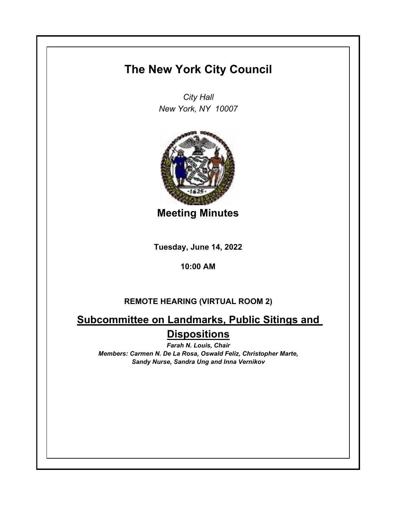## **The New York City Council**

*City Hall New York, NY 10007*



**Meeting Minutes**

**Tuesday, June 14, 2022**

**10:00 AM**

## **REMOTE HEARING (VIRTUAL ROOM 2)**

**Subcommittee on Landmarks, Public Sitings and Dispositions**

*Farah N. Louis, Chair Members: Carmen N. De La Rosa, Oswald Feliz, Christopher Marte, Sandy Nurse, Sandra Ung and Inna Vernikov*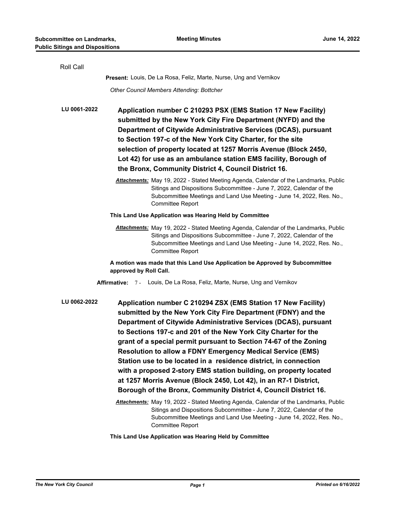| Roll Call                                                                                                                                                                                                                                                                                                                                                                                                                                                                                                                                                                                                                                                                                                      |  |  |
|----------------------------------------------------------------------------------------------------------------------------------------------------------------------------------------------------------------------------------------------------------------------------------------------------------------------------------------------------------------------------------------------------------------------------------------------------------------------------------------------------------------------------------------------------------------------------------------------------------------------------------------------------------------------------------------------------------------|--|--|
| <b>Present:</b> Louis, De La Rosa, Feliz, Marte, Nurse, Ung and Vernikov                                                                                                                                                                                                                                                                                                                                                                                                                                                                                                                                                                                                                                       |  |  |
| Other Council Members Attending: Bottcher                                                                                                                                                                                                                                                                                                                                                                                                                                                                                                                                                                                                                                                                      |  |  |
| LU 0061-2022<br>Application number C 210293 PSX (EMS Station 17 New Facility)<br>submitted by the New York City Fire Department (NYFD) and the<br>Department of Citywide Administrative Services (DCAS), pursuant<br>to Section 197-c of the New York City Charter, for the site<br>selection of property located at 1257 Morris Avenue (Block 2450,<br>Lot 42) for use as an ambulance station EMS facility, Borough of<br>the Bronx, Community District 4, Council District 16.                                                                                                                                                                                                                              |  |  |
| Attachments: May 19, 2022 - Stated Meeting Agenda, Calendar of the Landmarks, Public<br>Sitings and Dispositions Subcommittee - June 7, 2022, Calendar of the<br>Subcommittee Meetings and Land Use Meeting - June 14, 2022, Res. No.,<br><b>Committee Report</b>                                                                                                                                                                                                                                                                                                                                                                                                                                              |  |  |
| This Land Use Application was Hearing Held by Committee                                                                                                                                                                                                                                                                                                                                                                                                                                                                                                                                                                                                                                                        |  |  |
| Attachments: May 19, 2022 - Stated Meeting Agenda, Calendar of the Landmarks, Public<br>Sitings and Dispositions Subcommittee - June 7, 2022, Calendar of the<br>Subcommittee Meetings and Land Use Meeting - June 14, 2022, Res. No.,<br><b>Committee Report</b>                                                                                                                                                                                                                                                                                                                                                                                                                                              |  |  |
| A motion was made that this Land Use Application be Approved by Subcommittee<br>approved by Roll Call.                                                                                                                                                                                                                                                                                                                                                                                                                                                                                                                                                                                                         |  |  |
| Affirmative: 7 - Louis, De La Rosa, Feliz, Marte, Nurse, Ung and Vernikov                                                                                                                                                                                                                                                                                                                                                                                                                                                                                                                                                                                                                                      |  |  |
| LU 0062-2022<br>Application number C 210294 ZSX (EMS Station 17 New Facility)<br>submitted by the New York City Fire Department (FDNY) and the<br>Department of Citywide Administrative Services (DCAS), pursuant<br>to Sections 197-c and 201 of the New York City Charter for the<br>grant of a special permit pursuant to Section 74-67 of the Zoning<br><b>Resolution to allow a FDNY Emergency Medical Service (EMS)</b><br>Station use to be located in a residence district, in connection<br>with a proposed 2-story EMS station building, on property located<br>at 1257 Morris Avenue (Block 2450, Lot 42), in an R7-1 District,<br>Borough of the Bronx, Community District 4, Council District 16. |  |  |
| Attachments: May 19, 2022 - Stated Meeting Agenda, Calendar of the Landmarks, Public<br>Sitings and Dispositions Subcommittee - June 7, 2022, Calendar of the<br>Subcommittee Meetings and Land Use Meeting - June 14, 2022, Res. No.,<br><b>Committee Report</b>                                                                                                                                                                                                                                                                                                                                                                                                                                              |  |  |

**This Land Use Application was Hearing Held by Committee**